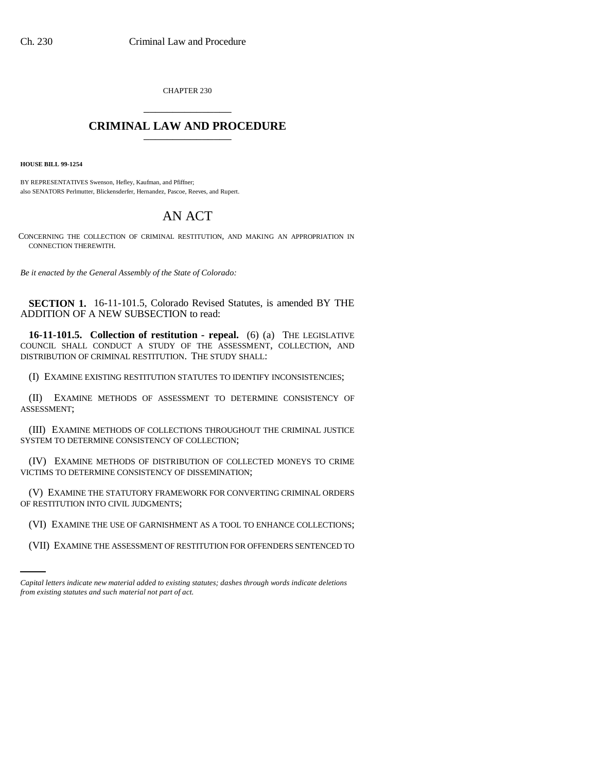CHAPTER 230 \_\_\_\_\_\_\_\_\_\_\_\_\_\_\_

## **CRIMINAL LAW AND PROCEDURE** \_\_\_\_\_\_\_\_\_\_\_\_\_\_\_

**HOUSE BILL 99-1254** 

BY REPRESENTATIVES Swenson, Hefley, Kaufman, and Pfiffner; also SENATORS Perlmutter, Blickensderfer, Hernandez, Pascoe, Reeves, and Rupert.

## AN ACT

CONCERNING THE COLLECTION OF CRIMINAL RESTITUTION, AND MAKING AN APPROPRIATION IN CONNECTION THEREWITH.

*Be it enacted by the General Assembly of the State of Colorado:*

**SECTION 1.** 16-11-101.5, Colorado Revised Statutes, is amended BY THE ADDITION OF A NEW SUBSECTION to read:

**16-11-101.5. Collection of restitution - repeal.** (6) (a) THE LEGISLATIVE COUNCIL SHALL CONDUCT A STUDY OF THE ASSESSMENT, COLLECTION, AND DISTRIBUTION OF CRIMINAL RESTITUTION. THE STUDY SHALL:

(I) EXAMINE EXISTING RESTITUTION STATUTES TO IDENTIFY INCONSISTENCIES;

(II) EXAMINE METHODS OF ASSESSMENT TO DETERMINE CONSISTENCY OF ASSESSMENT;

(III) EXAMINE METHODS OF COLLECTIONS THROUGHOUT THE CRIMINAL JUSTICE SYSTEM TO DETERMINE CONSISTENCY OF COLLECTION;

(IV) EXAMINE METHODS OF DISTRIBUTION OF COLLECTED MONEYS TO CRIME VICTIMS TO DETERMINE CONSISTENCY OF DISSEMINATION;

(V) EXAMINE THE STATUTORY FRAMEWORK FOR CONVERTING CRIMINAL ORDERS OF RESTITUTION INTO CIVIL JUDGMENTS;

(VI) EXAMINE THE USE OF GARNISHMENT AS A TOOL TO ENHANCE COLLECTIONS;

(VII) EXAMINE THE ASSESSMENT OF RESTITUTION FOR OFFENDERS SENTENCED TO

*Capital letters indicate new material added to existing statutes; dashes through words indicate deletions from existing statutes and such material not part of act.*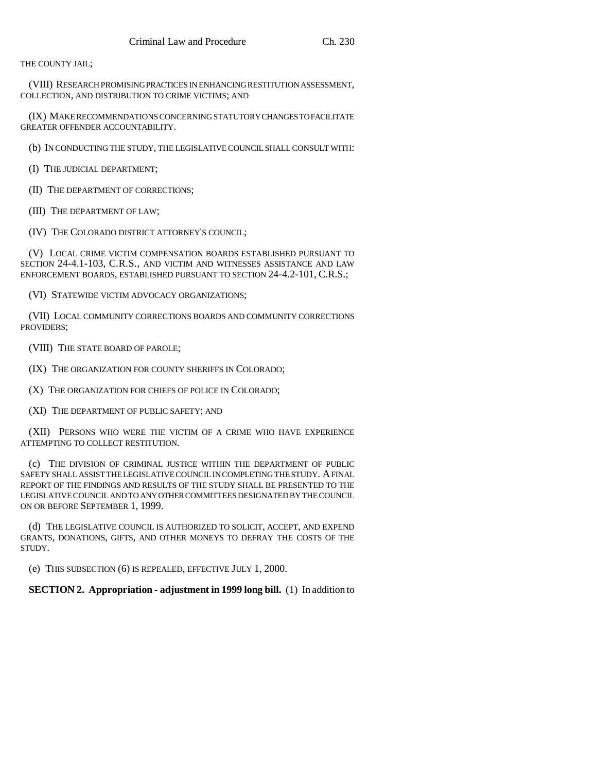THE COUNTY JAIL;

(VIII) RESEARCH PROMISING PRACTICES IN ENHANCING RESTITUTION ASSESSMENT, COLLECTION, AND DISTRIBUTION TO CRIME VICTIMS; AND

(IX) MAKE RECOMMENDATIONS CONCERNING STATUTORY CHANGES TO FACILITATE GREATER OFFENDER ACCOUNTABILITY.

(b) IN CONDUCTING THE STUDY, THE LEGISLATIVE COUNCIL SHALL CONSULT WITH:

(I) THE JUDICIAL DEPARTMENT;

(II) THE DEPARTMENT OF CORRECTIONS;

(III) THE DEPARTMENT OF LAW;

(IV) THE COLORADO DISTRICT ATTORNEY'S COUNCIL;

(V) LOCAL CRIME VICTIM COMPENSATION BOARDS ESTABLISHED PURSUANT TO SECTION 24-4.1-103, C.R.S., AND VICTIM AND WITNESSES ASSISTANCE AND LAW ENFORCEMENT BOARDS, ESTABLISHED PURSUANT TO SECTION 24-4.2-101, C.R.S.;

(VI) STATEWIDE VICTIM ADVOCACY ORGANIZATIONS;

(VII) LOCAL COMMUNITY CORRECTIONS BOARDS AND COMMUNITY CORRECTIONS PROVIDERS;

(VIII) THE STATE BOARD OF PAROLE;

(IX) THE ORGANIZATION FOR COUNTY SHERIFFS IN COLORADO;

(X) THE ORGANIZATION FOR CHIEFS OF POLICE IN COLORADO;

(XI) THE DEPARTMENT OF PUBLIC SAFETY; AND

(XII) PERSONS WHO WERE THE VICTIM OF A CRIME WHO HAVE EXPERIENCE ATTEMPTING TO COLLECT RESTITUTION.

(c) THE DIVISION OF CRIMINAL JUSTICE WITHIN THE DEPARTMENT OF PUBLIC SAFETY SHALL ASSIST THE LEGISLATIVE COUNCIL IN COMPLETING THE STUDY. A FINAL REPORT OF THE FINDINGS AND RESULTS OF THE STUDY SHALL BE PRESENTED TO THE LEGISLATIVE COUNCIL AND TO ANY OTHER COMMITTEES DESIGNATED BY THE COUNCIL ON OR BEFORE SEPTEMBER 1, 1999.

(d) THE LEGISLATIVE COUNCIL IS AUTHORIZED TO SOLICIT, ACCEPT, AND EXPEND GRANTS, DONATIONS, GIFTS, AND OTHER MONEYS TO DEFRAY THE COSTS OF THE STUDY.

(e) THIS SUBSECTION (6) IS REPEALED, EFFECTIVE JULY 1, 2000.

**SECTION 2. Appropriation - adjustment in 1999 long bill.** (1) In addition to